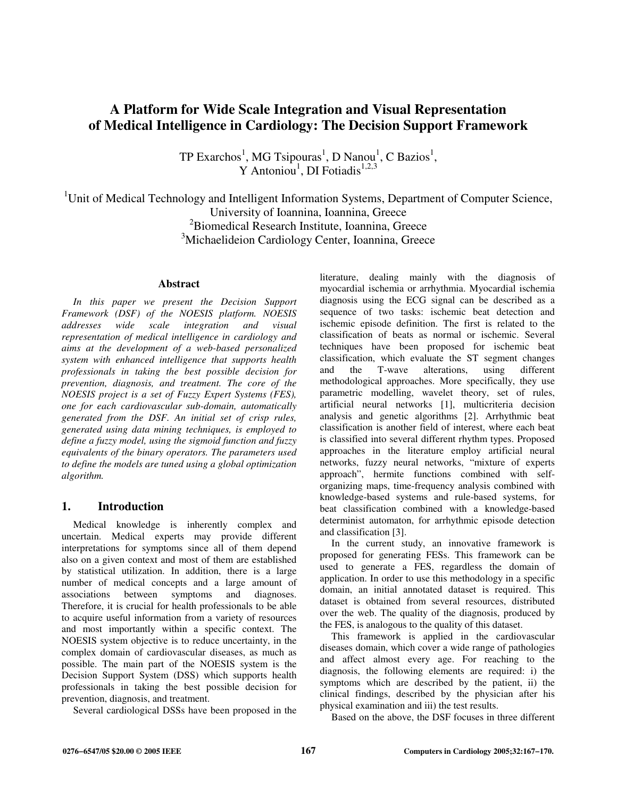# **A Platform for Wide Scale Integration and Visual Representation of Medical Intelligence in Cardiology: The Decision Support Framework**

TP Exarchos<sup>1</sup>, MG Tsipouras<sup>1</sup>, D Nanou<sup>1</sup>, C Bazios<sup>1</sup>, Y Antoniou<sup>1</sup>, DI Fotiadis<sup>1,2,3</sup>

<sup>1</sup>Unit of Medical Technology and Intelligent Information Systems, Department of Computer Science, University of Ioannina, Ioannina, Greece <sup>2</sup>Biomedical Research Institute, Ioannina, Greece <sup>3</sup>Michaelideion Cardiology Center, Ioannina, Greece

#### **Abstract**

*In this paper we present the Decision Support Framework (DSF) of the NOESIS platform. NOESIS addresses wide scale integration and visual representation of medical intelligence in cardiology and aims at the development of a web-based personalized system with enhanced intelligence that supports health professionals in taking the best possible decision for prevention, diagnosis, and treatment. The core of the NOESIS project is a set of Fuzzy Expert Systems (FES), one for each cardiovascular sub-domain, automatically generated from the DSF. An initial set of crisp rules, generated using data mining techniques, is employed to define a fuzzy model, using the sigmoid function and fuzzy equivalents of the binary operators. The parameters used to define the models are tuned using a global optimization algorithm.* 

## **1. Introduction**

Medical knowledge is inherently complex and uncertain. Medical experts may provide different interpretations for symptoms since all of them depend also on a given context and most of them are established by statistical utilization. In addition, there is a large number of medical concepts and a large amount of associations between symptoms and diagnoses. Therefore, it is crucial for health professionals to be able to acquire useful information from a variety of resources and most importantly within a specific context. The NOESIS system objective is to reduce uncertainty, in the complex domain of cardiovascular diseases, as much as possible. The main part of the NOESIS system is the Decision Support System (DSS) which supports health professionals in taking the best possible decision for prevention, diagnosis, and treatment.

Several cardiological DSSs have been proposed in the

literature, dealing mainly with the diagnosis of myocardial ischemia or arrhythmia. Myocardial ischemia diagnosis using the ECG signal can be described as a sequence of two tasks: ischemic beat detection and ischemic episode definition. The first is related to the classification of beats as normal or ischemic. Several techniques have been proposed for ischemic beat classification, which evaluate the ST segment changes and the T-wave alterations, using different methodological approaches. More specifically, they use parametric modelling, wavelet theory, set of rules, artificial neural networks [1], multicriteria decision analysis and genetic algorithms [2]. Arrhythmic beat classification is another field of interest, where each beat is classified into several different rhythm types. Proposed approaches in the literature employ artificial neural networks, fuzzy neural networks, "mixture of experts approach", hermite functions combined with selforganizing maps, time-frequency analysis combined with knowledge-based systems and rule-based systems, for beat classification combined with a knowledge-based determinist automaton, for arrhythmic episode detection and classification [3].

In the current study, an innovative framework is proposed for generating FESs. This framework can be used to generate a FES, regardless the domain of application. In order to use this methodology in a specific domain, an initial annotated dataset is required. This dataset is obtained from several resources, distributed over the web. The quality of the diagnosis, produced by the FES, is analogous to the quality of this dataset.

This framework is applied in the cardiovascular diseases domain, which cover a wide range of pathologies and affect almost every age. For reaching to the diagnosis, the following elements are required: i) the symptoms which are described by the patient, ii) the clinical findings, described by the physician after his physical examination and iii) the test results.

Based on the above, the DSF focuses in three different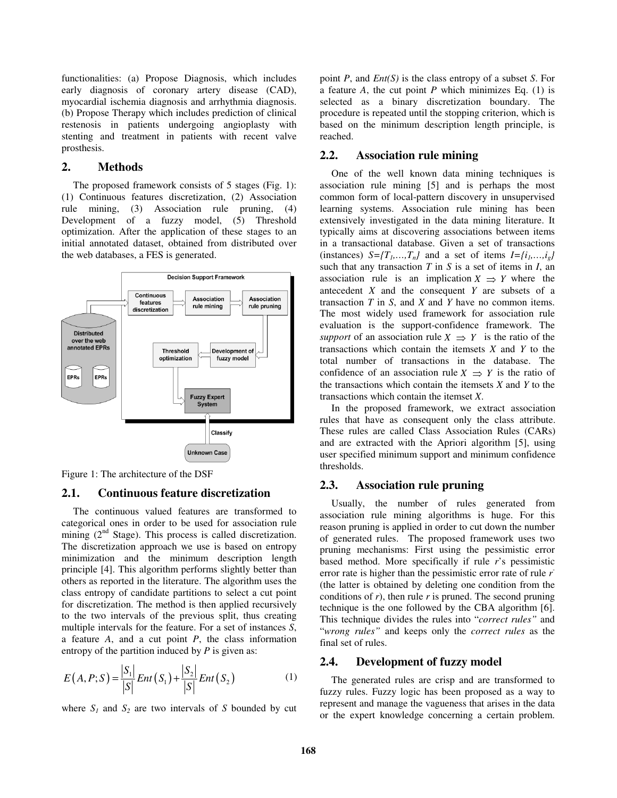functionalities: (a) Propose Diagnosis, which includes early diagnosis of coronary artery disease (CAD), myocardial ischemia diagnosis and arrhythmia diagnosis. (b) Propose Therapy which includes prediction of clinical restenosis in patients undergoing angioplasty with stenting and treatment in patients with recent valve prosthesis.

#### **2. Methods**

The proposed framework consists of 5 stages (Fig. 1): (1) Continuous features discretization, (2) Association rule mining, (3) Association rule pruning, (4) Development of a fuzzy model, (5) Threshold optimization. After the application of these stages to an initial annotated dataset, obtained from distributed over the web databases, a FES is generated.



Figure 1: The architecture of the DSF

## **2.1. Continuous feature discretization**

The continuous valued features are transformed to categorical ones in order to be used for association rule mining  $(2<sup>nd</sup> Stage)$ . This process is called discretization. The discretization approach we use is based on entropy minimization and the minimum description length principle [4]. This algorithm performs slightly better than others as reported in the literature. The algorithm uses the class entropy of candidate partitions to select a cut point for discretization. The method is then applied recursively to the two intervals of the previous split, thus creating multiple intervals for the feature. For a set of instances *S*, a feature *A*, and a cut point *P*, the class information entropy of the partition induced by *P* is given as:

$$
E(A, P; S) = \frac{|S_1|}{|S|} Ent(S_1) + \frac{|S_2|}{|S|} Ent(S_2)
$$
 (1)

where  $S_I$  and  $S_2$  are two intervals of *S* bounded by cut

point *P*, and *Ent(S)* is the class entropy of a subset *S*. For a feature *A*, the cut point *P* which minimizes Eq. (1) is selected as a binary discretization boundary. The procedure is repeated until the stopping criterion, which is based on the minimum description length principle, is reached.

## **2.2. Association rule mining**

One of the well known data mining techniques is association rule mining [5] and is perhaps the most common form of local-pattern discovery in unsupervised learning systems. Association rule mining has been extensively investigated in the data mining literature. It typically aims at discovering associations between items in a transactional database. Given a set of transactions (instances)  $S = \{T_1, \ldots, T_n\}$  and a set of items  $I = \{i_1, \ldots, i_g\}$ such that any transaction *T* in *S* is a set of items in *I*, an association rule is an implication  $X \Rightarrow Y$  where the antecedent *X* and the consequent *Y* are subsets of a transaction *T* in *S*, and *X* and *Y* have no common items. The most widely used framework for association rule evaluation is the support-confidence framework. The *support* of an association rule  $X \Rightarrow Y$  is the ratio of the transactions which contain the itemsets *X* and *Y* to the total number of transactions in the database. The confidence of an association rule  $X \Rightarrow Y$  is the ratio of the transactions which contain the itemsets *X* and *Y* to the transactions which contain the itemset *X*.

In the proposed framework, we extract association rules that have as consequent only the class attribute. These rules are called Class Association Rules (CARs) and are extracted with the Apriori algorithm [5], using user specified minimum support and minimum confidence thresholds.

## **2.3. Association rule pruning**

Usually, the number of rules generated from association rule mining algorithms is huge. For this reason pruning is applied in order to cut down the number of generated rules. The proposed framework uses two pruning mechanisms: First using the pessimistic error based method. More specifically if rule *r*'s pessimistic error rate is higher than the pessimistic error rate of rule *r -* (the latter is obtained by deleting one condition from the conditions of *r*), then rule *r* is pruned. The second pruning technique is the one followed by the CBA algorithm [6]. This technique divides the rules into "*correct rules"* and "*wrong rules"* and keeps only the *correct rules* as the final set of rules.

## **2.4. Development of fuzzy model**

The generated rules are crisp and are transformed to fuzzy rules. Fuzzy logic has been proposed as a way to represent and manage the vagueness that arises in the data or the expert knowledge concerning a certain problem.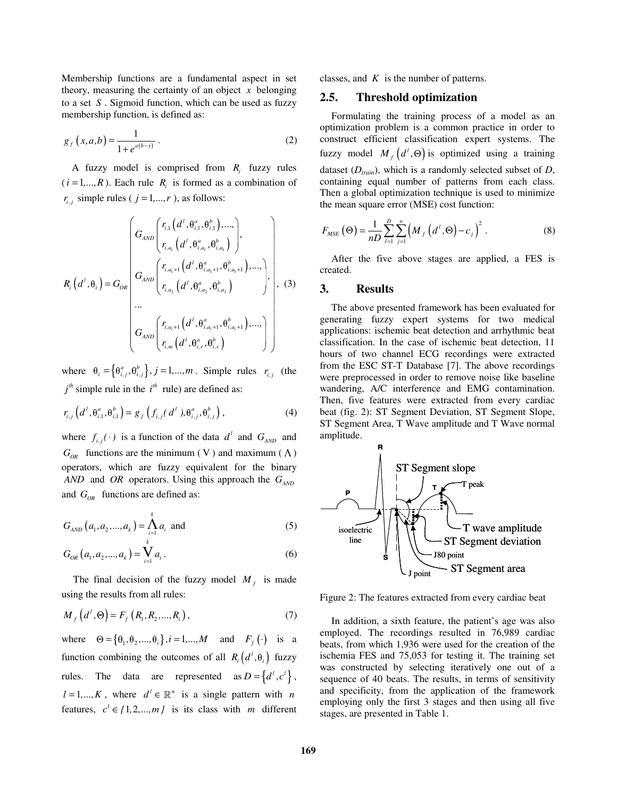Membership functions are a fundamental aspect in set theory, measuring the certainty of an object *x* belonging to a set *S* . Sigmoid function, which can be used as fuzzy membership function, is defined as:

$$
g_f(x, a, b) = \frac{1}{1 + e^{a(b-x)}}.
$$
 (2)

A fuzzy model is comprised from  $R_i$  fuzzy rules  $(i = 1, ..., R)$ . Each rule  $R_i$  is formed as a combination of  $r_{i,j}$  simple rules (  $j = 1,...,r$  ), as follows:

$$
R_{i}\left(d^{l},\theta_{i}\right) = G_{OR}\left(\begin{matrix}r_{i,1}\left(d^{l},\theta_{i,1}^{a},\theta_{i,1}^{b}\right),...,\\ r_{i,a_{1}}\left(d^{l},\theta_{i,a_{1}}^{a},\theta_{i,a_{1}}^{b}\right)\end{matrix}\right),\newline R_{i}\left(d^{l},\theta_{i}\right) = G_{OR}\left(\begin{matrix}r_{i,a_{1}+1}\left(d^{l},\theta_{i,a_{1}+1}^{a},\theta_{i,a_{1}+1}^{b}\right),...,\\ r_{i,a_{2}}\left(d^{l},\theta_{i,a_{2}}^{a},\theta_{i,a_{2}}^{b}\right)\end{matrix}\right),\newline \left(\begin{matrix}r_{i,a_{1}+1}\left(d^{l},\theta_{i,a_{1}+1}^{a},\theta_{i,a_{1}+1}^{b}\right),...,\\ r_{i,m}\left(d^{l},\theta_{i,m}^{a},\theta_{i,m}^{b}\right)\end{matrix}\right),\newline
$$

where  $\theta_i = \left\{\theta_{i,j}^a, \theta_{i,j}^b\right\}, j = 1, ..., m$ . Simple rules  $r_{i,j}$  (the  $i^{th}$  simple rule in the  $i^{th}$  rule) are defined as:

$$
r_{i,j}\left(d^{l},\theta_{i,1}^{a},\theta_{i,1}^{b}\right)=g_{f}\left(f_{i,j}(d^{l}),\theta_{i,j}^{a},\theta_{i,j}^{b}\right),
$$
\n(4)

where  $f_{i,j}(\cdot)$  is a function of the data  $d^l$  and  $G_{AND}$  and  $G_{OR}$  functions are the minimum (V) and maximum ( $\Lambda$ ) operators, which are fuzzy equivalent for the binary *AND* and *OR* operators. Using this approach the  $G$ <sub>*AND*</sub> and *GOR* functions are defined as:

$$
G_{AND}(a_1, a_2,..., a_k) = \bigwedge_{i=1}^{k} a_i \text{ and } (5)
$$

$$
G_{OR}(a_1, a_2,..., a_k) = \bigvee_{i=1}^k a_i.
$$
 (6)

The final decision of the fuzzy model  $M_f$  is made using the results from all rules:

$$
M_{f}\left(d^{t},\Theta\right)=F_{f}\left(R_{1},R_{2},...,R_{i}\right),\tag{7}
$$

where  $\Theta = {\theta_1, \theta_2, ..., \theta_j}$ ,  $i = 1,...,M$  and  $F_f(\cdot)$  is a function combining the outcomes of all  $R_i(d^i, \theta_i)$  fuzzy rules. The data are represented as  $D = \{d^i, c^i\},\$  $l = 1, ..., K$ , where  $d^l \in \mathbb{R}^n$  is a single pattern with *n* features,  $c^l \in \{1, 2, ..., m\}$  is its class with *m* different classes, and *K* is the number of patterns.

#### **2.5. Threshold optimization**

Formulating the training process of a model as an optimization problem is a common practice in order to construct efficient classification expert systems. The fuzzy model  $M_f(d^l, \Theta)$  is optimized using a training dataset (*Dtrain*), which is a randomly selected subset of *D*, containing equal number of patterns from each class. Then a global optimization technique is used to minimize the mean square error (MSE) cost function:

$$
F_{MSE}(\Theta) = \frac{1}{nD} \sum_{l=1}^{D} \sum_{j=1}^{n} (M_{f}(d^{l}, \Theta) - c_{j})^{2}.
$$
 (8)

After the five above stages are applied, a FES is created.

#### **3. Results**

The above presented framework has been evaluated for generating fuzzy expert systems for two medical applications: ischemic beat detection and arrhythmic beat classification. In the case of ischemic beat detection, 11 hours of two channel ECG recordings were extracted from the ESC ST-T Database [7]. The above recordings were preprocessed in order to remove noise like baseline wandering, A/C interference and EMG contamination. Then, five features were extracted from every cardiac beat (fig. 2): ST Segment Deviation, ST Segment Slope, ST Segment Area, T Wave amplitude and T Wave normal amplitude.



Figure 2: The features extracted from every cardiac beat

In addition, a sixth feature, the patient's age was also employed. The recordings resulted in 76,989 cardiac beats, from which 1,936 were used for the creation of the ischemia FES and 75,053 for testing it. The training set was constructed by selecting iteratively one out of a sequence of 40 beats. The results, in terms of sensitivity and specificity, from the application of the framework employing only the first 3 stages and then using all five stages, are presented in Table 1.